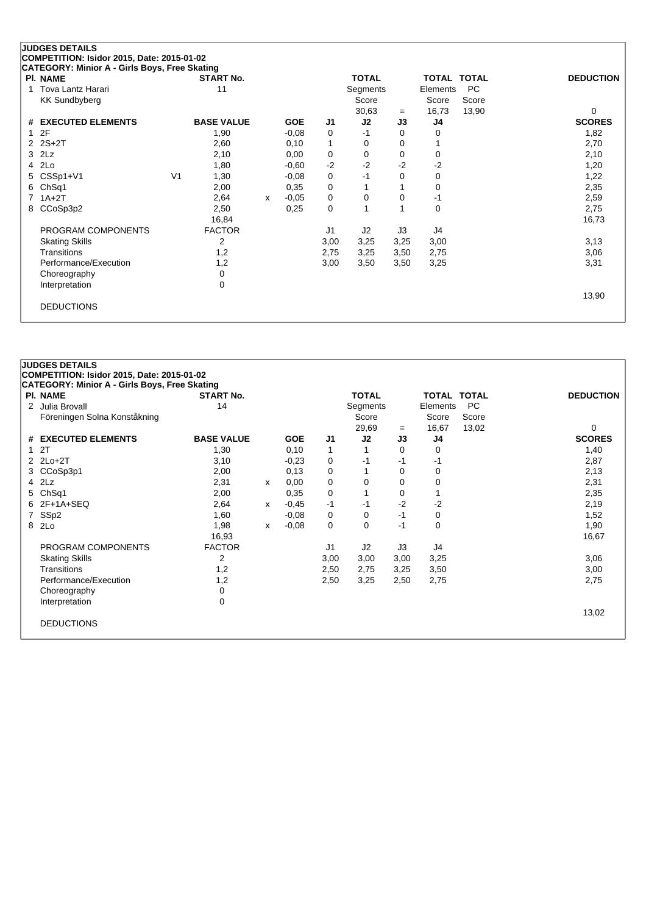**CATEGORY: Minior A - Girls Boys, Free Skating**

| PI. NAME              |                | <b>START No.</b>  |   |            |      | <b>TOTAL</b> |      | <b>TOTAL TOTAL</b> |       | <b>DEDUCTION</b> |
|-----------------------|----------------|-------------------|---|------------|------|--------------|------|--------------------|-------|------------------|
| Tova Lantz Harari     |                | 11                |   |            |      | Segments     |      | Elements           | PC    |                  |
| <b>KK Sundbyberg</b>  |                |                   |   |            |      | Score        |      | Score              | Score |                  |
|                       |                |                   |   |            |      | 30,63        | $=$  | 16,73              | 13,90 | 0                |
| # EXECUTED ELEMENTS   |                | <b>BASE VALUE</b> |   | <b>GOE</b> | J1   | J2           | J3   | J4                 |       | <b>SCORES</b>    |
| 12F                   |                | 1,90              |   | $-0,08$    | 0    | $-1$         | 0    | 0                  |       | 1,82             |
| $2$ $2S+2T$           |                | 2,60              |   | 0,10       | 1    | 0            | 0    |                    |       | 2,70             |
| $3$ $2Lz$             |                | 2,10              |   | 0,00       | 0    | 0            | 0    | 0                  |       | 2,10             |
| 4 2Lo                 |                | 1,80              |   | $-0,60$    | $-2$ | $-2$         | $-2$ | -2                 |       | 1,20             |
| 5 CSSp1+V1            | V <sub>1</sub> | 1,30              |   | $-0.08$    | 0    | -1           | 0    | 0                  |       | 1,22             |
| 6 ChSq1               |                | 2,00              |   | 0,35       | 0    |              |      | 0                  |       | 2,35             |
| $7.1A+2T$             |                | 2,64              | x | $-0.05$    | 0    | 0            | 0    | -1                 |       | 2,59             |
| 8 CCoSp3p2            |                | 2,50              |   | 0,25       | 0    |              |      | 0                  |       | 2,75             |
|                       |                | 16,84             |   |            |      |              |      |                    |       | 16,73            |
| PROGRAM COMPONENTS    |                | <b>FACTOR</b>     |   |            | J1   | J2           | J3   | J4                 |       |                  |
| <b>Skating Skills</b> |                | 2                 |   |            | 3,00 | 3,25         | 3,25 | 3,00               |       | 3,13             |
| Transitions           |                | 1,2               |   |            | 2,75 | 3,25         | 3,50 | 2,75               |       | 3,06             |
| Performance/Execution |                | 1,2               |   |            | 3,00 | 3,50         | 3,50 | 3,25               |       | 3,31             |
| Choreography          |                | 0                 |   |            |      |              |      |                    |       |                  |
| Interpretation        |                | 0                 |   |            |      |              |      |                    |       |                  |
|                       |                |                   |   |            |      |              |      |                    |       | 13,90            |
| <b>DEDUCTIONS</b>     |                |                   |   |            |      |              |      |                    |       |                  |
|                       |                |                   |   |            |      |              |      |                    |       |                  |

| <b>JUDGES DETAILS</b><br>COMPETITION: Isidor 2015, Date: 2015-01-02<br><b>CATEGORY: Minior A - Girls Boys, Free Skating</b> |                   |   |            |                |              |          |                    |       |                  |
|-----------------------------------------------------------------------------------------------------------------------------|-------------------|---|------------|----------------|--------------|----------|--------------------|-------|------------------|
| <b>PI. NAME</b>                                                                                                             | <b>START No.</b>  |   |            |                | <b>TOTAL</b> |          | <b>TOTAL TOTAL</b> |       | <b>DEDUCTION</b> |
| 2 Julia Brovall                                                                                                             | 14                |   |            |                | Segments     |          | Elements           | PC.   |                  |
| Föreningen Solna Konståkning                                                                                                |                   |   |            |                | Score        |          | Score              | Score |                  |
|                                                                                                                             |                   |   |            |                | 29,69        | $=$      | 16,67              | 13,02 | $\Omega$         |
| # EXECUTED ELEMENTS                                                                                                         | <b>BASE VALUE</b> |   | <b>GOE</b> | J <sub>1</sub> | J2           | J3       | J4                 |       | <b>SCORES</b>    |
| 1 <sub>2T</sub>                                                                                                             | 1,30              |   | 0,10       | 1              | 1            | 0        | 0                  |       | 1,40             |
| 2 2Lo+2T                                                                                                                    | 3,10              |   | $-0.23$    | 0              | -1           | -1       | -1                 |       | 2,87             |
| 3 CCoSp3p1                                                                                                                  | 2,00              |   | 0,13       | 0              |              | $\Omega$ | 0                  |       | 2,13             |
| $4$ $2Lz$                                                                                                                   | 2,31              | x | 0,00       | 0              | 0            | $\Omega$ | 0                  |       | 2,31             |
| 5 ChSq1                                                                                                                     | 2,00              |   | 0,35       | 0              | 1            | $\Omega$ |                    |       | 2,35             |
| 6 2F+1A+SEQ                                                                                                                 | 2,64              | x | $-0,45$    | $-1$           | $-1$         | $-2$     | $-2$               |       | 2,19             |
| 7 SSp2                                                                                                                      | 1,60              |   | $-0.08$    | 0              | 0            | $-1$     | 0                  |       | 1,52             |
| 8 2Lo                                                                                                                       | 1,98              | x | $-0.08$    | 0              | 0            | -1       | 0                  |       | 1,90             |
|                                                                                                                             | 16,93             |   |            |                |              |          |                    |       | 16,67            |
| PROGRAM COMPONENTS                                                                                                          | <b>FACTOR</b>     |   |            | J <sub>1</sub> | J2           | J3       | J4                 |       |                  |
| <b>Skating Skills</b>                                                                                                       | 2                 |   |            | 3,00           | 3,00         | 3,00     | 3,25               |       | 3,06             |
| Transitions                                                                                                                 | 1,2               |   |            | 2,50           | 2,75         | 3,25     | 3,50               |       | 3,00             |
| Performance/Execution                                                                                                       | 1,2               |   |            | 2,50           | 3,25         | 2,50     | 2,75               |       | 2,75             |
| Choreography                                                                                                                | 0                 |   |            |                |              |          |                    |       |                  |
| Interpretation                                                                                                              | 0                 |   |            |                |              |          |                    |       |                  |
|                                                                                                                             |                   |   |            |                |              |          |                    |       | 13,02            |
| <b>DEDUCTIONS</b>                                                                                                           |                   |   |            |                |              |          |                    |       |                  |
|                                                                                                                             |                   |   |            |                |              |          |                    |       |                  |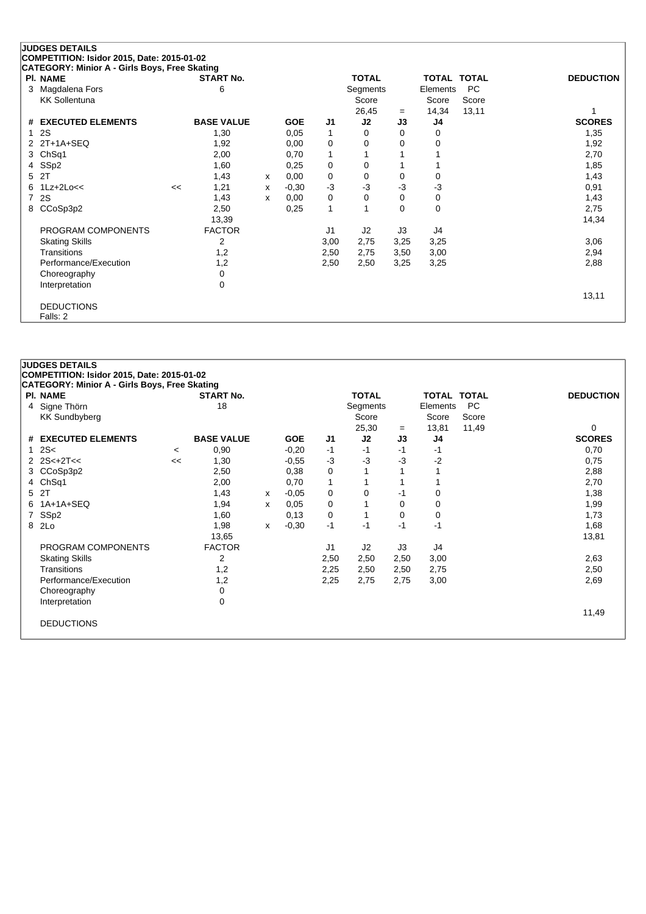**CATEGORY: Minior A - Girls Boys, Free Skating**

| <b>PI. NAME</b>       |    | <b>START No.</b>  |   |            |                | <b>TOTAL</b> |      | TOTAL    | <b>TOTAL</b> | <b>DEDUCTION</b> |
|-----------------------|----|-------------------|---|------------|----------------|--------------|------|----------|--------------|------------------|
| 3 Magdalena Fors      |    | 6                 |   |            |                | Segments     |      | Elements | <b>PC</b>    |                  |
| <b>KK Sollentuna</b>  |    |                   |   |            |                | Score        |      | Score    | Score        |                  |
|                       |    |                   |   |            |                | 26,45        | $=$  | 14,34    | 13,11        |                  |
| # EXECUTED ELEMENTS   |    | <b>BASE VALUE</b> |   | <b>GOE</b> | J1             | J2           | J3   | J4       |              | <b>SCORES</b>    |
| 12S                   |    | 1,30              |   | 0,05       | 1              | 0            | 0    | 0        |              | 1,35             |
| 2 2T+1A+SEQ           |    | 1,92              |   | 0,00       | 0              | 0            | 0    | 0        |              | 1,92             |
| 3 ChSq1               |    | 2,00              |   | 0,70       | 1              |              |      |          |              | 2,70             |
| 4 SSp2                |    | 1,60              |   | 0,25       | 0              | 0            |      |          |              | 1,85             |
| 5 2T                  |    | 1,43              | x | 0,00       | 0              | 0            | 0    | 0        |              | 1,43             |
| $6$ 1Lz+2Lo<<         | << | 1,21              | x | $-0,30$    | $-3$           | $-3$         | -3   | -3       |              | 0,91             |
| 7 2S                  |    | 1,43              | x | 0,00       | 0              | 0            | 0    | 0        |              | 1,43             |
| 8 CCoSp3p2            |    | 2,50              |   | 0,25       | 1              | 1            | 0    | 0        |              | 2,75             |
|                       |    | 13,39             |   |            |                |              |      |          |              | 14,34            |
| PROGRAM COMPONENTS    |    | <b>FACTOR</b>     |   |            | J <sub>1</sub> | J2           | J3   | J4       |              |                  |
| <b>Skating Skills</b> |    | 2                 |   |            | 3,00           | 2,75         | 3,25 | 3,25     |              | 3,06             |
| Transitions           |    | 1,2               |   |            | 2,50           | 2,75         | 3,50 | 3,00     |              | 2,94             |
| Performance/Execution |    | 1,2               |   |            | 2,50           | 2,50         | 3,25 | 3,25     |              | 2,88             |
| Choreography          |    | 0                 |   |            |                |              |      |          |              |                  |
| Interpretation        |    | 0                 |   |            |                |              |      |          |              |                  |
|                       |    |                   |   |            |                |              |      |          |              | 13,11            |
| <b>DEDUCTIONS</b>     |    |                   |   |            |                |              |      |          |              |                  |
| Falls: 2              |    |                   |   |            |                |              |      |          |              |                  |

| <b>JUDGES DETAILS</b>                         |         |                   |   |            |      |              |      |                    |           |                  |
|-----------------------------------------------|---------|-------------------|---|------------|------|--------------|------|--------------------|-----------|------------------|
| COMPETITION: Isidor 2015, Date: 2015-01-02    |         |                   |   |            |      |              |      |                    |           |                  |
| CATEGORY: Minior A - Girls Boys, Free Skating |         |                   |   |            |      |              |      |                    |           |                  |
| <b>PI. NAME</b>                               |         | <b>START No.</b>  |   |            |      | <b>TOTAL</b> |      | <b>TOTAL TOTAL</b> |           | <b>DEDUCTION</b> |
| 4 Signe Thörn                                 |         | 18                |   |            |      | Segments     |      | Elements           | <b>PC</b> |                  |
| <b>KK Sundbyberg</b>                          |         |                   |   |            |      | Score        |      | Score              | Score     |                  |
|                                               |         |                   |   |            |      | 25,30        | $=$  | 13,81              | 11,49     | 0                |
| # EXECUTED ELEMENTS                           |         | <b>BASE VALUE</b> |   | <b>GOE</b> | J1   | J2           | J3   | J4                 |           | <b>SCORES</b>    |
| 12S<                                          | $\prec$ | 0,90              |   | $-0,20$    | -1   | -1           | -1   | -1                 |           | 0,70             |
| $2$ 2S<+2T<<                                  | <<      | 1,30              |   | $-0,55$    | $-3$ | $-3$         | -3   | $-2$               |           | 0,75             |
| 3 CCoSp3p2                                    |         | 2,50              |   | 0,38       | 0    |              |      |                    |           | 2,88             |
| 4 ChSq1                                       |         | 2,00              |   | 0,70       | 1    |              |      |                    |           | 2,70             |
| 5 2T                                          |         | 1,43              | x | $-0.05$    | 0    | 0            | -1   | 0                  |           | 1,38             |
| 6 1A+1A+SEQ                                   |         | 1,94              | x | 0,05       | 0    |              | 0    | 0                  |           | 1,99             |
| 7 SSp2                                        |         | 1,60              |   | 0,13       | 0    | 1            | 0    | 0                  |           | 1,73             |
| 8 2Lo                                         |         | 1,98              | x | $-0,30$    | $-1$ | -1           | $-1$ | -1                 |           | 1,68             |
|                                               |         | 13,65             |   |            |      |              |      |                    |           | 13,81            |
| PROGRAM COMPONENTS                            |         | <b>FACTOR</b>     |   |            | J1   | J2           | J3   | J4                 |           |                  |
| <b>Skating Skills</b>                         |         | 2                 |   |            | 2,50 | 2,50         | 2,50 | 3,00               |           | 2,63             |
| Transitions                                   |         | 1,2               |   |            | 2,25 | 2,50         | 2,50 | 2,75               |           | 2,50             |
| Performance/Execution                         |         | 1,2               |   |            | 2,25 | 2,75         | 2,75 | 3,00               |           | 2,69             |
| Choreography                                  |         | 0                 |   |            |      |              |      |                    |           |                  |
| Interpretation                                |         | 0                 |   |            |      |              |      |                    |           |                  |
|                                               |         |                   |   |            |      |              |      |                    |           | 11,49            |
| <b>DEDUCTIONS</b>                             |         |                   |   |            |      |              |      |                    |           |                  |
|                                               |         |                   |   |            |      |              |      |                    |           |                  |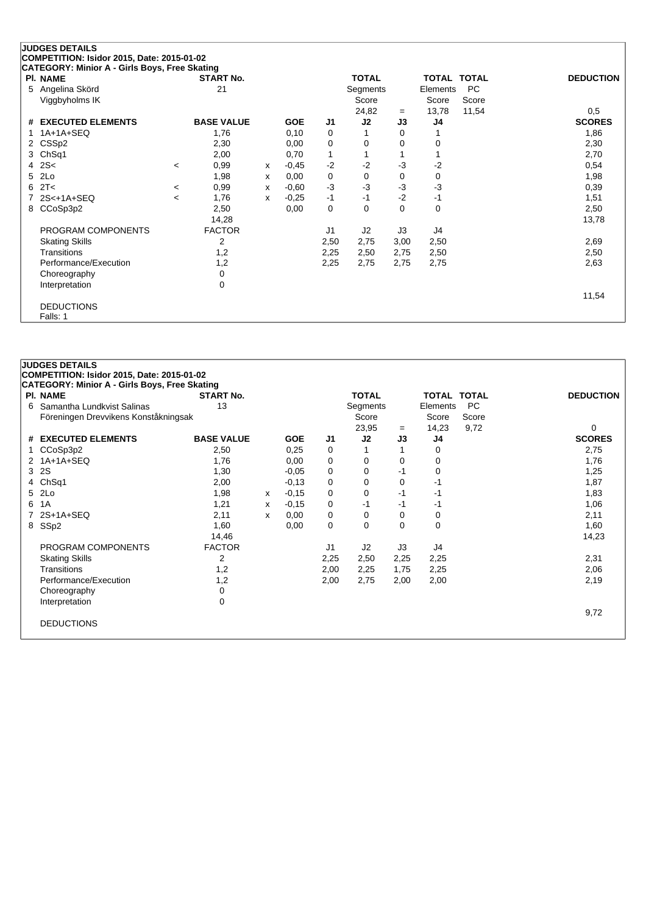# **JUDGES DETAILS**

**COMPETITION: Isidor 2015, Date: 2015-01-02**

| CATEGORY: Minior A - Girls Boys, Free Skating |         |                   |   |            |                |              |      |              |              |                  |
|-----------------------------------------------|---------|-------------------|---|------------|----------------|--------------|------|--------------|--------------|------------------|
| <b>PI. NAME</b>                               |         | <b>START No.</b>  |   |            |                | <b>TOTAL</b> |      | <b>TOTAL</b> | <b>TOTAL</b> | <b>DEDUCTION</b> |
| 5 Angelina Skörd                              |         | 21                |   |            |                | Segments     |      | Elements     | <b>PC</b>    |                  |
| Viggbyholms IK                                |         |                   |   |            |                | Score        |      | Score        | Score        |                  |
|                                               |         |                   |   |            |                | 24,82        | $=$  | 13,78        | 11,54        | 0,5              |
| # EXECUTED ELEMENTS                           |         | <b>BASE VALUE</b> |   | <b>GOE</b> | J1             | J2           | J3   | J4           |              | <b>SCORES</b>    |
| 1 1A+1A+SEQ                                   |         | 1,76              |   | 0,10       | 0              |              | 0    |              |              | 1,86             |
| 2 CSSp2                                       |         | 2,30              |   | 0,00       | 0              | 0            | 0    | 0            |              | 2,30             |
| 3 ChSq1                                       |         | 2,00              |   | 0,70       | $\mathbf{1}$   |              |      |              |              | 2,70             |
| $4$ 2S<                                       | $\,<\,$ | 0,99              | x | $-0,45$    | $-2$           | $-2$         | $-3$ | $-2$         |              | 0,54             |
| 5 2Lo                                         |         | 1,98              | х | 0,00       | 0              | 0            | 0    | 0            |              | 1,98             |
| 62T <                                         | $\,<\,$ | 0,99              | х | $-0,60$    | $-3$           | $-3$         | $-3$ | $-3$         |              | 0,39             |
| 7 2S<+1A+SEQ                                  | <       | 1,76              | x | $-0.25$    | $-1$           | -1           | $-2$ | $-1$         |              | 1,51             |
| 8 CCoSp3p2                                    |         | 2,50              |   | 0,00       | 0              | 0            | 0    | 0            |              | 2,50             |
|                                               |         | 14,28             |   |            |                |              |      |              |              | 13,78            |
| PROGRAM COMPONENTS                            |         | <b>FACTOR</b>     |   |            | J <sub>1</sub> | J2           | J3   | J4           |              |                  |
| <b>Skating Skills</b>                         |         | 2                 |   |            | 2,50           | 2,75         | 3,00 | 2,50         |              | 2,69             |
| Transitions                                   |         | 1,2               |   |            | 2,25           | 2,50         | 2,75 | 2,50         |              | 2,50             |
| Performance/Execution                         |         | 1,2               |   |            | 2,25           | 2,75         | 2,75 | 2,75         |              | 2,63             |
| Choreography                                  |         | 0                 |   |            |                |              |      |              |              |                  |
| Interpretation                                |         | 0                 |   |            |                |              |      |              |              |                  |
|                                               |         |                   |   |            |                |              |      |              |              | 11,54            |
| <b>DEDUCTIONS</b>                             |         |                   |   |            |                |              |      |              |              |                  |
| Falls: 1                                      |         |                   |   |            |                |              |      |              |              |                  |

| PI. NAME<br>6.         | COMPETITION: Isidor 2015, Date: 2015-01-02<br><b>CATEGORY: Minior A - Girls Boys, Free Skating</b><br>Samantha Lundkvist Salinas<br>Föreningen Drevvikens Konståkningsak<br># EXECUTED ELEMENTS | <b>START No.</b><br>13<br><b>BASE VALUE</b><br>2,50 |   | <b>GOE</b> |      | <b>TOTAL</b><br>Segments<br>Score<br>23,95 |          | TOTAL TOTAL<br>Elements<br>Score | <b>PC</b><br>Score | <b>DEDUCTION</b> |
|------------------------|-------------------------------------------------------------------------------------------------------------------------------------------------------------------------------------------------|-----------------------------------------------------|---|------------|------|--------------------------------------------|----------|----------------------------------|--------------------|------------------|
|                        |                                                                                                                                                                                                 |                                                     |   |            |      |                                            |          |                                  |                    |                  |
|                        |                                                                                                                                                                                                 |                                                     |   |            |      |                                            |          |                                  |                    |                  |
|                        |                                                                                                                                                                                                 |                                                     |   |            |      |                                            |          |                                  |                    |                  |
|                        |                                                                                                                                                                                                 |                                                     |   |            |      |                                            |          |                                  |                    |                  |
|                        |                                                                                                                                                                                                 |                                                     |   |            |      |                                            |          |                                  |                    |                  |
|                        |                                                                                                                                                                                                 |                                                     |   |            |      |                                            | $=$      | 14,23                            | 9,72               | 0                |
|                        |                                                                                                                                                                                                 |                                                     |   |            | J1   | J2                                         | J3       | J4                               |                    | <b>SCORES</b>    |
| CCoSp3p2               |                                                                                                                                                                                                 |                                                     |   | 0,25       | 0    |                                            |          | 0                                |                    | 2,75             |
| 2 1A+1A+SEQ            |                                                                                                                                                                                                 | 1,76                                                |   | 0,00       | 0    | 0                                          | 0        | 0                                |                    | 1,76             |
| 3 2S                   |                                                                                                                                                                                                 | 1,30                                                |   | $-0,05$    | 0    | 0                                          | -1       | 0                                |                    | 1,25             |
| Ch <sub>Sq1</sub><br>4 |                                                                                                                                                                                                 | 2,00                                                |   | $-0,13$    | 0    | 0                                          | 0        | -1                               |                    | 1,87             |
| 5 2Lo                  |                                                                                                                                                                                                 | 1,98                                                | x | $-0,15$    | 0    | 0                                          | -1       | -1                               |                    | 1,83             |
| 1A<br>6                |                                                                                                                                                                                                 | 1,21                                                | x | $-0,15$    | 0    | -1                                         | -1       | -1                               |                    | 1,06             |
| 2S+1A+SEQ              |                                                                                                                                                                                                 | 2,11                                                | x | 0,00       | 0    | $\Omega$                                   | $\Omega$ | 0                                |                    | 2,11             |
| SSp2<br>8              |                                                                                                                                                                                                 | 1,60                                                |   | 0,00       | 0    | $\Omega$                                   | $\Omega$ | 0                                |                    | 1,60             |
|                        |                                                                                                                                                                                                 | 14,46                                               |   |            |      |                                            |          |                                  |                    | 14,23            |
|                        | PROGRAM COMPONENTS                                                                                                                                                                              | <b>FACTOR</b>                                       |   |            | J1   | J2                                         | J3       | J4                               |                    |                  |
| <b>Skating Skills</b>  |                                                                                                                                                                                                 | 2                                                   |   |            | 2,25 | 2,50                                       | 2,25     | 2,25                             |                    | 2,31             |
| Transitions            |                                                                                                                                                                                                 | 1,2                                                 |   |            | 2,00 | 2,25                                       | 1,75     | 2,25                             |                    | 2,06             |
|                        | Performance/Execution                                                                                                                                                                           | 1,2                                                 |   |            | 2,00 | 2,75                                       | 2,00     | 2,00                             |                    | 2,19             |
| Choreography           |                                                                                                                                                                                                 | 0                                                   |   |            |      |                                            |          |                                  |                    |                  |
| Interpretation         |                                                                                                                                                                                                 | $\Omega$                                            |   |            |      |                                            |          |                                  |                    |                  |
|                        |                                                                                                                                                                                                 |                                                     |   |            |      |                                            |          |                                  |                    | 9,72             |
| <b>DEDUCTIONS</b>      |                                                                                                                                                                                                 |                                                     |   |            |      |                                            |          |                                  |                    |                  |
|                        |                                                                                                                                                                                                 |                                                     |   |            |      |                                            |          |                                  |                    |                  |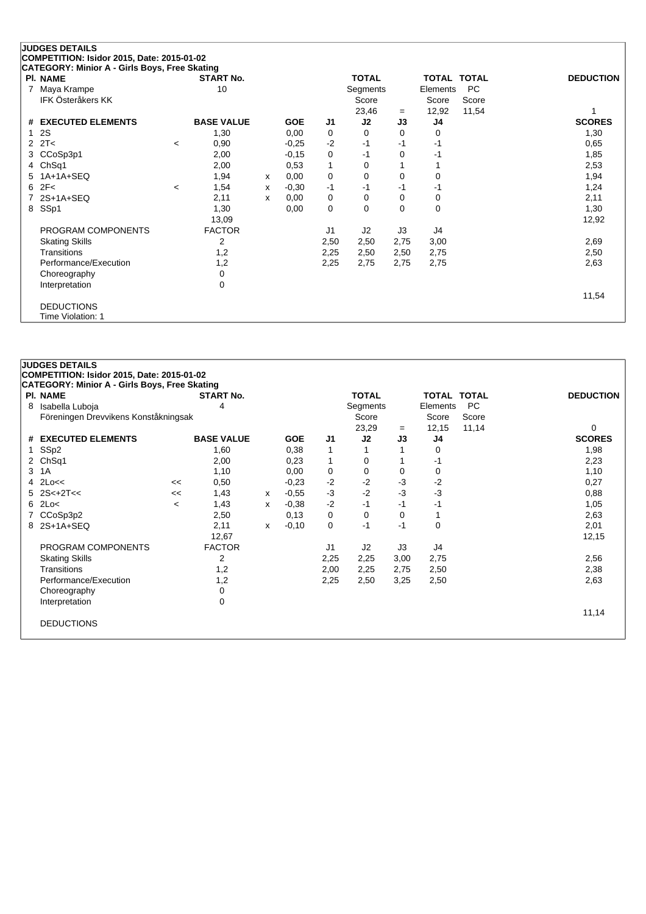| <b>PI. NAME</b>       |                          | <b>START No.</b>  |   |            |          | <b>TOTAL</b> |           | <b>TOTAL TOTAL</b> |           | <b>DEDUCTION</b> |
|-----------------------|--------------------------|-------------------|---|------------|----------|--------------|-----------|--------------------|-----------|------------------|
| Maya Krampe           |                          | 10                |   |            |          | Segments     |           | Elements           | <b>PC</b> |                  |
| IFK Österåkers KK     |                          |                   |   |            |          | Score        |           | Score              | Score     |                  |
| # EXECUTED ELEMENTS   |                          | <b>BASE VALUE</b> |   | <b>GOE</b> | J1       | 23,46<br>J2  | $=$<br>J3 | 12,92<br>J4        | 11,54     | <b>SCORES</b>    |
| 2S                    |                          | 1,30              |   | 0,00       | 0        | 0            | 0         | 0                  |           | 1,30             |
| 2T<<br>2              | $\overline{\phantom{a}}$ | 0,90              |   | $-0.25$    | $-2$     | $-1$         | $-1$      | $-1$               |           | 0,65             |
| CCoSp3p1<br>3         |                          | 2,00              |   | $-0,15$    | $\Omega$ | -1           | $\Omega$  | -1                 |           | 1,85             |
| 4 ChSq1               |                          | 2,00              |   | 0,53       |          | 0            |           |                    |           | 2,53             |
| $1A+1A+SEQ$<br>5      |                          | 1,94              | x | 0,00       | $\Omega$ | $\Omega$     | $\Omega$  | 0                  |           | 1,94             |
| 2F<<br>6              | $\prec$                  | 1,54              | x | $-0.30$    | $-1$     | $-1$         | -1        | $-1$               |           | 1,24             |
| $2S+1A+SEQ$           |                          | 2,11              | x | 0,00       | 0        | 0            | 0         | 0                  |           | 2,11             |
| SSp1<br>8             |                          | 1,30              |   | 0,00       | 0        | $\Omega$     | $\Omega$  | 0                  |           | 1,30             |
|                       |                          | 13,09             |   |            |          |              |           |                    |           | 12,92            |
| PROGRAM COMPONENTS    |                          | <b>FACTOR</b>     |   |            | J1       | J2           | J3        | J4                 |           |                  |
| <b>Skating Skills</b> |                          | 2                 |   |            | 2,50     | 2,50         | 2,75      | 3,00               |           | 2,69             |
| Transitions           |                          | 1,2               |   |            | 2,25     | 2,50         | 2,50      | 2,75               |           | 2,50             |
| Performance/Execution |                          | 1,2               |   |            | 2,25     | 2,75         | 2,75      | 2,75               |           | 2,63             |
| Choreography          |                          | 0                 |   |            |          |              |           |                    |           |                  |
| Interpretation        |                          | 0                 |   |            |          |              |           |                    |           |                  |
|                       |                          |                   |   |            |          |              |           |                    |           | 11,54            |

DEDUCTIONS

Time Violation: 1

|    | <b>JUDGES DETAILS</b>                                |         |                   |   |            |                |              |      |                    |           |                  |
|----|------------------------------------------------------|---------|-------------------|---|------------|----------------|--------------|------|--------------------|-----------|------------------|
|    | COMPETITION: Isidor 2015, Date: 2015-01-02           |         |                   |   |            |                |              |      |                    |           |                  |
|    | <b>CATEGORY: Minior A - Girls Boys, Free Skating</b> |         |                   |   |            |                |              |      |                    |           |                  |
|    | <b>PI. NAME</b>                                      |         | <b>START No.</b>  |   |            |                | <b>TOTAL</b> |      | <b>TOTAL TOTAL</b> |           | <b>DEDUCTION</b> |
| 8  | Isabella Luboja                                      |         | 4                 |   |            |                | Segments     |      | Elements           | <b>PC</b> |                  |
|    | Föreningen Drevvikens Konståkningsak                 |         |                   |   |            |                | Score        |      | Score              | Score     |                  |
|    |                                                      |         |                   |   |            |                | 23,29        | $=$  | 12,15              | 11,14     | 0                |
|    | # EXECUTED ELEMENTS                                  |         | <b>BASE VALUE</b> |   | <b>GOE</b> | J <sub>1</sub> | J2           | J3   | J <sub>4</sub>     |           | <b>SCORES</b>    |
| 1. | SSp2                                                 |         | 1,60              |   | 0,38       |                |              |      | 0                  |           | 1,98             |
| 2  | ChSq1                                                |         | 2,00              |   | 0,23       | 1              | 0            |      | -1                 |           | 2,23             |
| 3  | 1A                                                   |         | 1,10              |   | 0,00       | 0              | 0            | 0    | 0                  |           | 1,10             |
| 4  | 2Lo<<                                                | <<      | 0,50              |   | $-0,23$    | $-2$           | $-2$         | $-3$ | $-2$               |           | 0,27             |
|    | $5$ $2S<+2T<<$                                       | <<      | 1,43              | x | $-0.55$    | $-3$           | $-2$         | $-3$ | $-3$               |           | 0,88             |
|    | $6$ 2Lo<                                             | $\,<\,$ | 1,43              | x | $-0.38$    | $-2$           | $-1$         | $-1$ | -1                 |           | 1,05             |
|    | CCoSp3p2                                             |         | 2,50              |   | 0,13       | 0              | 0            | 0    |                    |           | 2,63             |
| 8  | $2S+1A+SEQ$                                          |         | 2,11              | x | $-0,10$    | 0              | $-1$         | $-1$ | $\Omega$           |           | 2,01             |
|    |                                                      |         | 12,67             |   |            |                |              |      |                    |           | 12,15            |
|    | PROGRAM COMPONENTS                                   |         | <b>FACTOR</b>     |   |            | J <sub>1</sub> | J2           | J3   | J4                 |           |                  |
|    | <b>Skating Skills</b>                                |         | 2                 |   |            | 2,25           | 2,25         | 3,00 | 2,75               |           | 2,56             |
|    | Transitions                                          |         | 1,2               |   |            | 2,00           | 2,25         | 2,75 | 2,50               |           | 2,38             |
|    | Performance/Execution                                |         | 1,2               |   |            | 2,25           | 2,50         | 3,25 | 2,50               |           | 2,63             |
|    | Choreography                                         |         | 0                 |   |            |                |              |      |                    |           |                  |
|    | Interpretation                                       |         | 0                 |   |            |                |              |      |                    |           |                  |
|    |                                                      |         |                   |   |            |                |              |      |                    |           | 11,14            |
|    | <b>DEDUCTIONS</b>                                    |         |                   |   |            |                |              |      |                    |           |                  |
|    |                                                      |         |                   |   |            |                |              |      |                    |           |                  |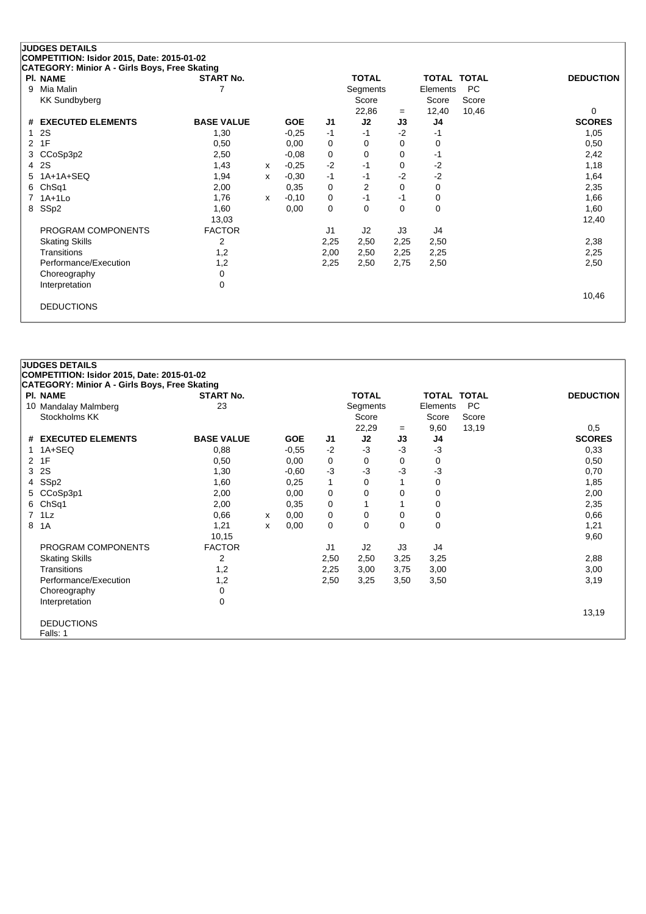|   | <b>JUDGES DETAILS</b><br>COMPETITION: Isidor 2015, Date: 2015-01-02 |                   |   |            |      |                |             |             |           |                  |
|---|---------------------------------------------------------------------|-------------------|---|------------|------|----------------|-------------|-------------|-----------|------------------|
|   | CATEGORY: Minior A - Girls Boys, Free Skating                       |                   |   |            |      |                |             |             |           |                  |
|   | <b>PI. NAME</b>                                                     | <b>START No.</b>  |   |            |      | <b>TOTAL</b>   |             | TOTAL TOTAL |           | <b>DEDUCTION</b> |
| 9 | Mia Malin                                                           |                   |   |            |      | Segments       |             | Elements    | <b>PC</b> |                  |
|   | <b>KK Sundbyberg</b>                                                |                   |   |            |      | Score          |             | Score       | Score     |                  |
|   |                                                                     |                   |   |            |      | 22,86          | $=$         | 12,40       | 10,46     | $\Omega$         |
| # | <b>EXECUTED ELEMENTS</b>                                            | <b>BASE VALUE</b> |   | <b>GOE</b> | J1   | J2             | J3          | J4          |           | <b>SCORES</b>    |
|   | 2S                                                                  | 1,30              |   | $-0,25$    | $-1$ | $-1$           | $-2$        | -1          |           | 1,05             |
| 2 | 1F                                                                  | 0,50              |   | 0,00       | 0    | 0              | 0           | 0           |           | 0,50             |
|   | CCoSp3p2<br>3                                                       | 2,50              |   | $-0.08$    | 0    | 0              | 0           | $-1$        |           | 2,42             |
| 4 | 2S                                                                  | 1,43              | X | $-0,25$    | $-2$ | $-1$           | 0           | $-2$        |           | 1,18             |
| 5 | $1A+1A+SEQ$                                                         | 1,94              | x | $-0,30$    | $-1$ | $-1$           | $-2$        | $-2$        |           | 1,64             |
| 6 | Ch <sub>Sq1</sub>                                                   | 2,00              |   | 0,35       | 0    | $\overline{2}$ | $\mathbf 0$ | 0           |           | 2,35             |
|   | $1A+1L0$                                                            | 1,76              | x | $-0,10$    | 0    | $-1$           | $-1$        | 0           |           | 1,66             |
| 8 | SS <sub>p2</sub>                                                    | 1,60              |   | 0,00       | 0    | 0              | 0           | 0           |           | 1,60             |
|   |                                                                     | 13,03             |   |            |      |                |             |             |           | 12,40            |
|   | PROGRAM COMPONENTS                                                  | <b>FACTOR</b>     |   |            | J1   | J <sub>2</sub> | J3          | J4          |           |                  |
|   | <b>Skating Skills</b>                                               | 2                 |   |            | 2,25 | 2,50           | 2,25        | 2,50        |           | 2,38             |
|   | <b>Transitions</b>                                                  | 1,2               |   |            | 2,00 | 2,50           | 2,25        | 2,25        |           | 2,25             |
|   | Performance/Execution                                               | 1,2               |   |            | 2,25 | 2,50           | 2,75        | 2,50        |           | 2,50             |
|   | Choreography                                                        | 0                 |   |            |      |                |             |             |           |                  |
|   | Interpretation                                                      | $\mathbf 0$       |   |            |      |                |             |             |           |                  |
|   |                                                                     |                   |   |            |      |                |             |             |           | 10,46            |
|   | <b>DEDUCTIONS</b>                                                   |                   |   |            |      |                |             |             |           |                  |

|                | <b>JUDGES DETAILS</b>                                     |                   |   |            |              |                |      |                    |           |                  |
|----------------|-----------------------------------------------------------|-------------------|---|------------|--------------|----------------|------|--------------------|-----------|------------------|
|                | COMPETITION: Isidor 2015, Date: 2015-01-02                |                   |   |            |              |                |      |                    |           |                  |
|                | CATEGORY: Minior A - Girls Boys, Free Skating<br>PI. NAME | <b>START No.</b>  |   |            |              | <b>TOTAL</b>   |      | <b>TOTAL TOTAL</b> |           | <b>DEDUCTION</b> |
|                | 10 Mandalay Malmberg                                      | 23                |   |            |              | Segments       |      | Elements           | <b>PC</b> |                  |
|                | Stockholms KK                                             |                   |   |            |              | Score          |      | Score              | Score     |                  |
|                |                                                           |                   |   |            |              | 22,29          | $=$  | 9,60               | 13,19     | 0,5              |
|                | # EXECUTED ELEMENTS                                       | <b>BASE VALUE</b> |   | <b>GOE</b> | J1           | J2             | J3   | J4                 |           | <b>SCORES</b>    |
|                | $1A+SEQ$                                                  | 0,88              |   | $-0,55$    | $-2$         | $-3$           | $-3$ | $-3$               |           | 0,33             |
| 2              | 1F                                                        | 0,50              |   | 0,00       | 0            | 0              | 0    | 0                  |           | 0,50             |
| 3              | 2S                                                        | 1,30              |   | $-0,60$    | $-3$         | $-3$           | -3   | $-3$               |           | 0,70             |
| 4              | SSp2                                                      | 1,60              |   | 0,25       | $\mathbf{1}$ | 0              |      | 0                  |           | 1,85             |
| 5              | CCoSp3p1                                                  | 2,00              |   | 0,00       | 0            | $\Omega$       | 0    | $\mathbf 0$        |           | 2,00             |
| 6              | Ch <sub>Sq1</sub>                                         | 2,00              |   | 0,35       | 0            |                |      | 0                  |           | 2,35             |
| $\overline{7}$ | 1Lz                                                       | 0,66              | x | 0,00       | 0            | 0              | 0    | 0                  |           | 0,66             |
| 8              | 1A                                                        | 1,21              | x | 0,00       | 0            | 0              | 0    | 0                  |           | 1,21             |
|                |                                                           | 10,15             |   |            |              |                |      |                    |           | 9,60             |
|                | PROGRAM COMPONENTS                                        | <b>FACTOR</b>     |   |            | J1           | J <sub>2</sub> | J3   | J4                 |           |                  |
|                | <b>Skating Skills</b>                                     | 2                 |   |            | 2,50         | 2,50           | 3,25 | 3,25               |           | 2,88             |
|                | Transitions                                               | 1,2               |   |            | 2,25         | 3,00           | 3,75 | 3,00               |           | 3,00             |
|                | Performance/Execution                                     | 1,2               |   |            | 2,50         | 3,25           | 3,50 | 3,50               |           | 3,19             |
|                | Choreography                                              | $\mathbf 0$       |   |            |              |                |      |                    |           |                  |
|                | Interpretation                                            | $\mathbf 0$       |   |            |              |                |      |                    |           |                  |
|                |                                                           |                   |   |            |              |                |      |                    |           | 13,19            |
|                | <b>DEDUCTIONS</b>                                         |                   |   |            |              |                |      |                    |           |                  |
|                | Falls: 1                                                  |                   |   |            |              |                |      |                    |           |                  |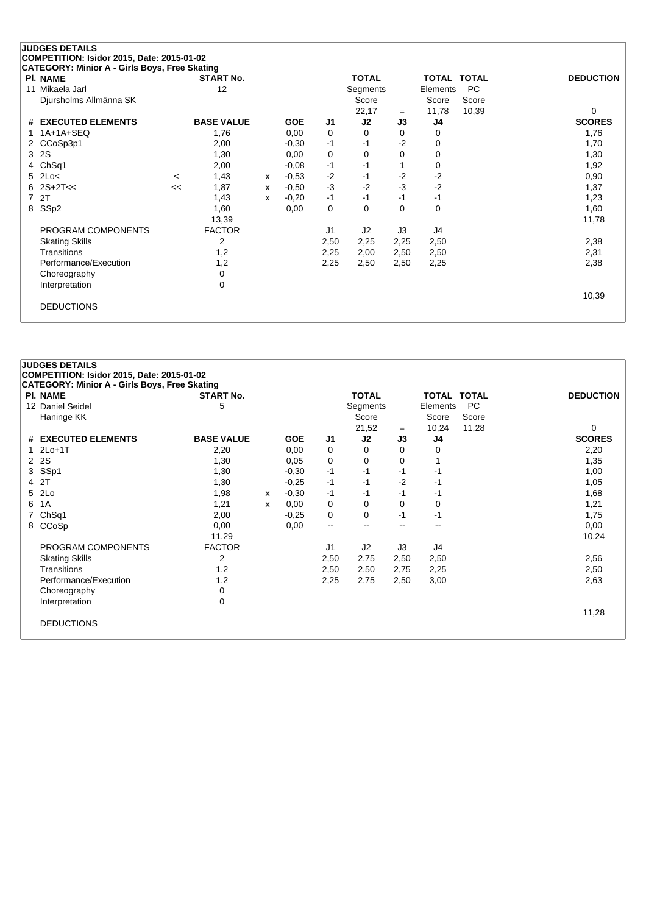| COMPETITION: Isidor 2015, Date: 2015-01-02<br>CATEGORY: Minior A - Girls Boys, Free Skating<br><b>TOTAL</b><br><b>PI. NAME</b><br><b>START No.</b><br>TOTAL TOTAL<br>Mikaela Jarl<br>12<br><b>PC</b><br>11<br>Segments<br>Elements<br>Score<br>Djursholms Allmänna SK<br>Score<br>Score<br>11,78<br>22,17<br>10,39<br>0<br>$=$<br><b>BASE VALUE</b><br>J2<br># EXECUTED ELEMENTS<br><b>GOE</b><br>J <sub>1</sub><br>J3<br>J4<br>1A+1A+SEQ<br>1,76<br>1,76<br>0,00<br>0<br>$\Omega$<br>0<br>0 | <b>JUDGES DETAILS</b> |      |         |      |      |      |   |                  |
|----------------------------------------------------------------------------------------------------------------------------------------------------------------------------------------------------------------------------------------------------------------------------------------------------------------------------------------------------------------------------------------------------------------------------------------------------------------------------------------------|-----------------------|------|---------|------|------|------|---|------------------|
|                                                                                                                                                                                                                                                                                                                                                                                                                                                                                              |                       |      |         |      |      |      |   |                  |
|                                                                                                                                                                                                                                                                                                                                                                                                                                                                                              |                       |      |         |      |      |      |   |                  |
|                                                                                                                                                                                                                                                                                                                                                                                                                                                                                              |                       |      |         |      |      |      |   | <b>DEDUCTION</b> |
|                                                                                                                                                                                                                                                                                                                                                                                                                                                                                              |                       |      |         |      |      |      |   |                  |
|                                                                                                                                                                                                                                                                                                                                                                                                                                                                                              |                       |      |         |      |      |      |   |                  |
|                                                                                                                                                                                                                                                                                                                                                                                                                                                                                              |                       |      |         |      |      |      |   |                  |
|                                                                                                                                                                                                                                                                                                                                                                                                                                                                                              |                       |      |         |      |      |      |   | <b>SCORES</b>    |
|                                                                                                                                                                                                                                                                                                                                                                                                                                                                                              |                       |      |         |      |      |      |   |                  |
|                                                                                                                                                                                                                                                                                                                                                                                                                                                                                              | CCoSp3p1<br>$^{2}$    | 2,00 | $-0,30$ | $-1$ | $-1$ | $-2$ | 0 | 1,70             |
| <b>2S</b><br>1,30<br>0,00<br>0<br>$\Omega$<br>$\Omega$<br>1,30<br>3<br>0                                                                                                                                                                                                                                                                                                                                                                                                                     |                       |      |         |      |      |      |   |                  |
| Ch <sub>Sq1</sub><br>1,92<br>2,00<br>$-0,08$<br>$-1$<br>$-1$<br>0<br>4                                                                                                                                                                                                                                                                                                                                                                                                                       |                       |      |         |      |      |      |   |                  |
| $-2$<br>$-2$<br>$-2$<br>0,90<br>2Lo<<br>1,43<br>$-0,53$<br>5.<br>-1<br>x<br>$\prec$                                                                                                                                                                                                                                                                                                                                                                                                          |                       |      |         |      |      |      |   |                  |
| $-2$<br>$-2$<br>$2S+2T<<$<br>-3<br>$-3$<br>1,87<br>$-0,50$<br>1,37<br>6<br><<<br>x                                                                                                                                                                                                                                                                                                                                                                                                           |                       |      |         |      |      |      |   |                  |
| 2T<br>$-0,20$<br>1,23<br>7<br>1,43<br>$-1$<br>$-1$<br>$-1$<br>-1<br>x                                                                                                                                                                                                                                                                                                                                                                                                                        |                       |      |         |      |      |      |   |                  |
| SSp2<br>0,00<br>0<br>$\Omega$<br>0<br>0<br>1,60<br>8<br>1,60                                                                                                                                                                                                                                                                                                                                                                                                                                 |                       |      |         |      |      |      |   |                  |
| 13,39<br>11,78                                                                                                                                                                                                                                                                                                                                                                                                                                                                               |                       |      |         |      |      |      |   |                  |
| PROGRAM COMPONENTS<br><b>FACTOR</b><br>J <sub>1</sub><br>J3<br>J4<br>J <sub>2</sub>                                                                                                                                                                                                                                                                                                                                                                                                          |                       |      |         |      |      |      |   |                  |
| <b>Skating Skills</b><br>2<br>2,50<br>2,25<br>2,50<br>2,38<br>2,25                                                                                                                                                                                                                                                                                                                                                                                                                           |                       |      |         |      |      |      |   |                  |
| Transitions<br>1,2<br>2,31<br>2,25<br>2,50<br>2,00<br>2,50                                                                                                                                                                                                                                                                                                                                                                                                                                   |                       |      |         |      |      |      |   |                  |
| Performance/Execution<br>1,2<br>2,25<br>2,50<br>2,25<br>2,38<br>2,50                                                                                                                                                                                                                                                                                                                                                                                                                         |                       |      |         |      |      |      |   |                  |
| 0<br>Choreography                                                                                                                                                                                                                                                                                                                                                                                                                                                                            |                       |      |         |      |      |      |   |                  |
| 0<br>Interpretation                                                                                                                                                                                                                                                                                                                                                                                                                                                                          |                       |      |         |      |      |      |   |                  |
| 10,39                                                                                                                                                                                                                                                                                                                                                                                                                                                                                        |                       |      |         |      |      |      |   |                  |
| <b>DEDUCTIONS</b>                                                                                                                                                                                                                                                                                                                                                                                                                                                                            |                       |      |         |      |      |      |   |                  |
|                                                                                                                                                                                                                                                                                                                                                                                                                                                                                              |                       |      |         |      |      |      |   |                  |

| PI. NAME                    | <b>START No.</b>  |   |            |                          | <b>TOTAL</b> |      | <b>TOTAL TOTAL</b> |           | <b>DEDUCTION</b> |
|-----------------------------|-------------------|---|------------|--------------------------|--------------|------|--------------------|-----------|------------------|
| 12 Daniel Seidel            | 5                 |   |            |                          | Segments     |      | Elements           | <b>PC</b> |                  |
| Haninge KK                  |                   |   |            |                          | Score        |      | Score              | Score     |                  |
|                             |                   |   |            |                          | 21,52        | $=$  | 10,24              | 11,28     | 0                |
| # EXECUTED ELEMENTS         | <b>BASE VALUE</b> |   | <b>GOE</b> | J <sub>1</sub>           | J2           | J3   | J4                 |           | <b>SCORES</b>    |
| $2Lo+1T$                    | 2,20              |   | 0,00       | 0                        | 0            | 0    | 0                  |           | 2,20             |
| <b>2S</b><br>$\overline{2}$ | 1,30              |   | 0,05       | 0                        | 0            | 0    |                    |           | 1,35             |
| SSp1<br>3                   | 1,30              |   | $-0,30$    | $-1$                     | -1           | -1   | -1                 |           | 1,00             |
| 2T<br>4                     | 1,30              |   | $-0,25$    | $-1$                     | $-1$         | $-2$ | -1                 |           | 1,05             |
| 2Lo<br>5                    | 1,98              | x | $-0,30$    | $-1$                     | -1           | $-1$ | -1                 |           | 1,68             |
| 1A<br>6                     | 1,21              | x | 0,00       | 0                        | 0            | 0    | 0                  |           | 1,21             |
| Ch <sub>Sq1</sub>           | 2,00              |   | $-0.25$    | 0                        | 0            | $-1$ | -1                 |           | 1,75             |
| CCoSp<br>8                  | 0,00              |   | 0,00       | $\overline{\phantom{a}}$ | $-$          | $-$  | $- -$              |           | 0,00             |
|                             | 11,29             |   |            |                          |              |      |                    |           | 10,24            |
| PROGRAM COMPONENTS          | <b>FACTOR</b>     |   |            | J <sub>1</sub>           | J2           | J3   | J4                 |           |                  |
| <b>Skating Skills</b>       | 2                 |   |            | 2,50                     | 2,75         | 2,50 | 2,50               |           | 2,56             |
| Transitions                 | 1,2               |   |            | 2,50                     | 2,50         | 2,75 | 2,25               |           | 2,50             |
| Performance/Execution       | 1,2               |   |            | 2,25                     | 2,75         | 2,50 | 3,00               |           | 2,63             |
| Choreography                | 0                 |   |            |                          |              |      |                    |           |                  |
| Interpretation              | 0                 |   |            |                          |              |      |                    |           |                  |
|                             |                   |   |            |                          |              |      |                    |           | 11,28            |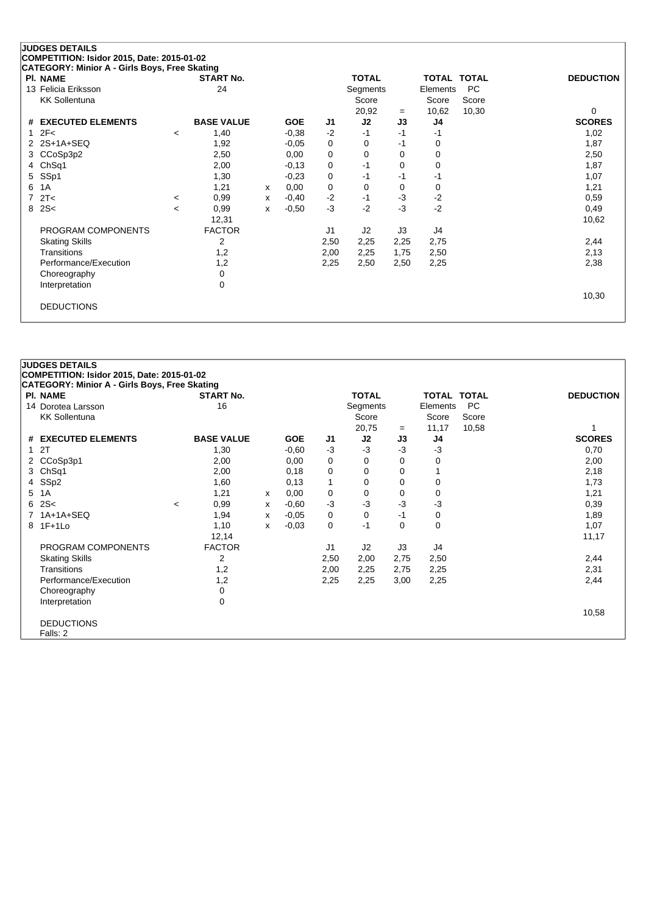| <b>PI. NAME</b>       |         | <b>START No.</b>  |   |            |      | <b>TOTAL</b> |      | <b>TOTAL TOTAL</b> |       | <b>DEDUCTION</b> |
|-----------------------|---------|-------------------|---|------------|------|--------------|------|--------------------|-------|------------------|
| 13 Felicia Eriksson   |         | 24                |   |            |      | Segments     |      | Elements           | PC.   |                  |
| <b>KK Sollentuna</b>  |         |                   |   |            |      | Score        |      | Score              | Score |                  |
|                       |         |                   |   |            |      | 20,92        | $=$  | 10,62              | 10,30 | 0                |
| # EXECUTED ELEMENTS   |         | <b>BASE VALUE</b> |   | <b>GOE</b> | J1   | J2           | J3   | J4                 |       | <b>SCORES</b>    |
| 1 $2F<$               | $\,<\,$ | 1,40              |   | $-0.38$    | $-2$ | -1           | -1   | -1                 |       | 1,02             |
| 2 2S+1A+SEQ           |         | 1,92              |   | $-0.05$    | 0    | 0            | -1   | 0                  |       | 1,87             |
| 3 CCoSp3p2            |         | 2,50              |   | 0,00       | 0    | 0            | 0    | 0                  |       | 2,50             |
| 4 ChSq1               |         | 2,00              |   | $-0,13$    | 0    | $-1$         | 0    | 0                  |       | 1,87             |
| 5 SSp1                |         | 1,30              |   | $-0,23$    | 0    | -1           | -1   | -1                 |       | 1,07             |
| 6 1A                  |         | 1,21              | х | 0,00       | 0    | 0            | 0    | 0                  |       | 1,21             |
| 72T<                  | $\prec$ | 0,99              | х | $-0,40$    | $-2$ | -1           | $-3$ | $-2$               |       | 0,59             |
| 82S<                  | <       | 0,99              | x | $-0.50$    | $-3$ | $-2$         | $-3$ | $-2$               |       | 0,49             |
|                       |         | 12,31             |   |            |      |              |      |                    |       | 10,62            |
| PROGRAM COMPONENTS    |         | <b>FACTOR</b>     |   |            | J1   | J2           | J3   | J4                 |       |                  |
| <b>Skating Skills</b> |         | 2                 |   |            | 2,50 | 2,25         | 2,25 | 2,75               |       | 2,44             |
| Transitions           |         | 1,2               |   |            | 2,00 | 2,25         | 1,75 | 2,50               |       | 2,13             |
| Performance/Execution |         | 1,2               |   |            | 2,25 | 2,50         | 2,50 | 2,25               |       | 2,38             |
| Choreography          |         | 0                 |   |            |      |              |      |                    |       |                  |
| Interpretation        |         | 0                 |   |            |      |              |      |                    |       |                  |
|                       |         |                   |   |            |      |              |      |                    |       | 10,30            |
| <b>DEDUCTIONS</b>     |         |                   |   |            |      |              |      |                    |       |                  |
|                       |         |                   |   |            |      |              |      |                    |       |                  |

### **COMPETITION: Isidor 2015, Date: 2015-01-02 CATEGORY: Minior A - Girls Boys, Free Skating Pl. NAME START No. TOTAL TOTAL TOTAL DEDUCTION** 14 Dorotea Larsson **16** 16 Segments Elements PC KK Sollentuna Score Score Score Score Score Score Score Score Score Score Score Score Score Score Score Score Score Score Score Score Score Score Score Score Score Score Score Score Score Score Score Score Score Score Scor 20,75 <sup>=</sup> 11,17 10,58 1 **# EXECUTED ELEMENTS BASE VALUE GOE J1 J2 J3 J4 SCORES** 1 2T 1,30 -0,60 -3 -3 -3 -3 0,70 2 CCoSp3p1 2,00 0,00 0 0 0 0 2,00 3 ChSq1 2,00 0,18 0 0 0 1 2,18 4 SSp2 1,60 0,13 1 0 0 0 1,73 5 1A 1,21 <sup>x</sup> 0,00 0 0 0 0 1,21 6 2S< <sup>&</sup>lt; 0,99 <sup>x</sup> -0,60 -3 -3 -3 -3 0,39 7 1A+1A+SEQ 1,94 <sup>x</sup> -0,05 0 0 -1 0 1,89 8 1F+1Lo 1,10 <sup>x</sup> -0,03 0 -1 0 0 1,07 12,14 11,17 PROGRAM COMPONENTS FACTOR UNIVERSITY OF A SERVICE SERVICE A SUB- USB AND A J4 Skating Skills 2 2,50 2,00 2,75 2,50 2,44 Transitions 1,2 2,00 2,25 2,75 2,25 2,31 Performance/Execution 1,2 2,25 2,25 3,00 2,25 2,44 Choreography 0<br>
Interpretation 0 Interpretation 10,58

DEDUCTIONS

**JUDGES DETAILS**

Falls: 2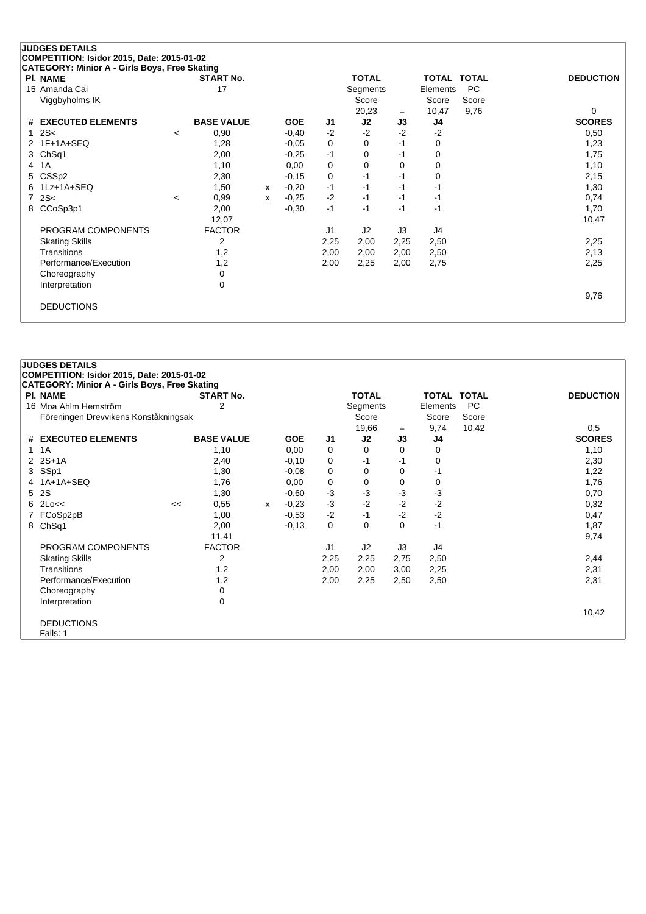# **JUDGES DETAILS**

**COMPETITION: Isidor 2015, Date: 2015-01-02**

| CATEGORY: Minior A - Girls Boys, Free Skating |                          |                   |   |            |                |                |      |          |              |                  |
|-----------------------------------------------|--------------------------|-------------------|---|------------|----------------|----------------|------|----------|--------------|------------------|
| <b>PI. NAME</b>                               |                          | <b>START No.</b>  |   |            |                | <b>TOTAL</b>   |      | TOTAL    | <b>TOTAL</b> | <b>DEDUCTION</b> |
| 15 Amanda Cai                                 |                          | 17                |   |            |                | Segments       |      | Elements | PC           |                  |
| Viggbyholms IK                                |                          |                   |   |            |                | Score          |      | Score    | Score        |                  |
|                                               |                          |                   |   |            |                | 20,23          | $=$  | 10,47    | 9,76         | 0                |
| # EXECUTED ELEMENTS                           |                          | <b>BASE VALUE</b> |   | <b>GOE</b> | J <sub>1</sub> | J <sub>2</sub> | J3   | J4       |              | <b>SCORES</b>    |
| 12S<                                          | $\overline{\phantom{a}}$ | 0,90              |   | $-0,40$    | $-2$           | $-2$           | $-2$ | $-2$     |              | 0,50             |
| 2 1F+1A+SEQ                                   |                          | 1,28              |   | $-0.05$    | 0              | 0              | $-1$ | 0        |              | 1,23             |
| 3 ChSq1                                       |                          | 2,00              |   | $-0.25$    | $-1$           | 0              | -1   | 0        |              | 1,75             |
| 4 1A                                          |                          | 1,10              |   | 0,00       | 0              | $\mathbf 0$    | 0    | 0        |              | 1,10             |
| 5 CSSp2                                       |                          | 2,30              |   | $-0,15$    | 0              | -1             | -1   | 0        |              | 2,15             |
| 6 1Lz+1A+SEQ                                  |                          | 1,50              | x | $-0,20$    | -1             | -1             | $-1$ | -1       |              | 1,30             |
| 72S<                                          | $\,<\,$                  | 0,99              | x | $-0,25$    | $-2$           | -1             | $-1$ | -1       |              | 0,74             |
| 8 CCoSp3p1                                    |                          | 2,00              |   | $-0,30$    | $-1$           | $-1$           | $-1$ | $-1$     |              | 1,70             |
|                                               |                          | 12,07             |   |            |                |                |      |          |              | 10,47            |
| PROGRAM COMPONENTS                            |                          | <b>FACTOR</b>     |   |            | J <sub>1</sub> | J2             | J3   | J4       |              |                  |
| <b>Skating Skills</b>                         |                          | $\overline{2}$    |   |            | 2,25           | 2,00           | 2,25 | 2,50     |              | 2,25             |
| Transitions                                   |                          | 1,2               |   |            | 2,00           | 2,00           | 2,00 | 2,50     |              | 2,13             |
| Performance/Execution                         |                          | 1,2               |   |            | 2,00           | 2,25           | 2,00 | 2,75     |              | 2,25             |
| Choreography                                  |                          | 0                 |   |            |                |                |      |          |              |                  |
| Interpretation                                |                          | 0                 |   |            |                |                |      |          |              |                  |
|                                               |                          |                   |   |            |                |                |      |          |              | 9,76             |
| <b>DEDUCTIONS</b>                             |                          |                   |   |            |                |                |      |          |              |                  |
|                                               |                          |                   |   |            |                |                |      |          |              |                  |

|              | <b>JUDGES DETAILS</b>                         |    |                   |                           |            |                |                |      |                    |           |                  |
|--------------|-----------------------------------------------|----|-------------------|---------------------------|------------|----------------|----------------|------|--------------------|-----------|------------------|
|              | COMPETITION: Isidor 2015, Date: 2015-01-02    |    |                   |                           |            |                |                |      |                    |           |                  |
|              | CATEGORY: Minior A - Girls Boys, Free Skating |    |                   |                           |            |                |                |      |                    |           |                  |
|              | <b>PI. NAME</b>                               |    | <b>START No.</b>  |                           |            |                | <b>TOTAL</b>   |      | <b>TOTAL TOTAL</b> |           | <b>DEDUCTION</b> |
|              | 16 Moa Ahlm Hemström                          |    | 2                 |                           |            |                | Segments       |      | Elements           | <b>PC</b> |                  |
|              | Föreningen Drevvikens Konståkningsak          |    |                   |                           |            |                | Score          |      | Score              | Score     |                  |
|              |                                               |    |                   |                           |            |                | 19,66          | $=$  | 9,74               | 10,42     | 0,5              |
|              | # EXECUTED ELEMENTS                           |    | <b>BASE VALUE</b> |                           | <b>GOE</b> | J <sub>1</sub> | J2             | J3   | J <sub>4</sub>     |           | <b>SCORES</b>    |
| $\mathbf{1}$ | 1A                                            |    | 1,10              |                           | 0,00       | 0              | 0              | 0    | 0                  |           | 1,10             |
|              | 2 2S+1A                                       |    | 2,40              |                           | $-0,10$    | 0              | -1             | -1   | 0                  |           | 2,30             |
|              | 3 SSp1                                        |    | 1,30              |                           | $-0.08$    | 0              | 0              | 0    | -1                 |           | 1,22             |
| 4            | $1A+1A+SEQ$                                   |    | 1,76              |                           | 0,00       | 0              | 0              | 0    | $\mathbf 0$        |           | 1,76             |
| 5            | 2S                                            |    | 1,30              |                           | $-0,60$    | $-3$           | $-3$           | $-3$ | $-3$               |           | 0,70             |
| 6            | 2Lo<<                                         | << | 0,55              | $\boldsymbol{\mathsf{x}}$ | $-0.23$    | $-3$           | $-2$           | $-2$ | $-2$               |           | 0,32             |
|              | FCoSp2pB                                      |    | 1,00              |                           | $-0.53$    | $-2$           | $-1$           | $-2$ | $-2$               |           | 0,47             |
|              | 8 ChSq1                                       |    | 2,00              |                           | $-0.13$    | 0              | 0              | 0    | $-1$               |           | 1,87             |
|              |                                               |    | 11,41             |                           |            |                |                |      |                    |           | 9,74             |
|              | PROGRAM COMPONENTS                            |    | <b>FACTOR</b>     |                           |            | J1             | J <sub>2</sub> | J3   | J4                 |           |                  |
|              | <b>Skating Skills</b>                         |    | 2                 |                           |            | 2,25           | 2,25           | 2,75 | 2,50               |           | 2,44             |
|              | Transitions                                   |    | 1,2               |                           |            | 2,00           | 2,00           | 3,00 | 2,25               |           | 2,31             |
|              | Performance/Execution                         |    | 1,2               |                           |            | 2,00           | 2,25           | 2,50 | 2,50               |           | 2,31             |
|              | Choreography                                  |    | 0                 |                           |            |                |                |      |                    |           |                  |
|              | Interpretation                                |    | 0                 |                           |            |                |                |      |                    |           |                  |
|              |                                               |    |                   |                           |            |                |                |      |                    |           | 10,42            |
|              | <b>DEDUCTIONS</b>                             |    |                   |                           |            |                |                |      |                    |           |                  |
|              | Falls: 1                                      |    |                   |                           |            |                |                |      |                    |           |                  |
|              |                                               |    |                   |                           |            |                |                |      |                    |           |                  |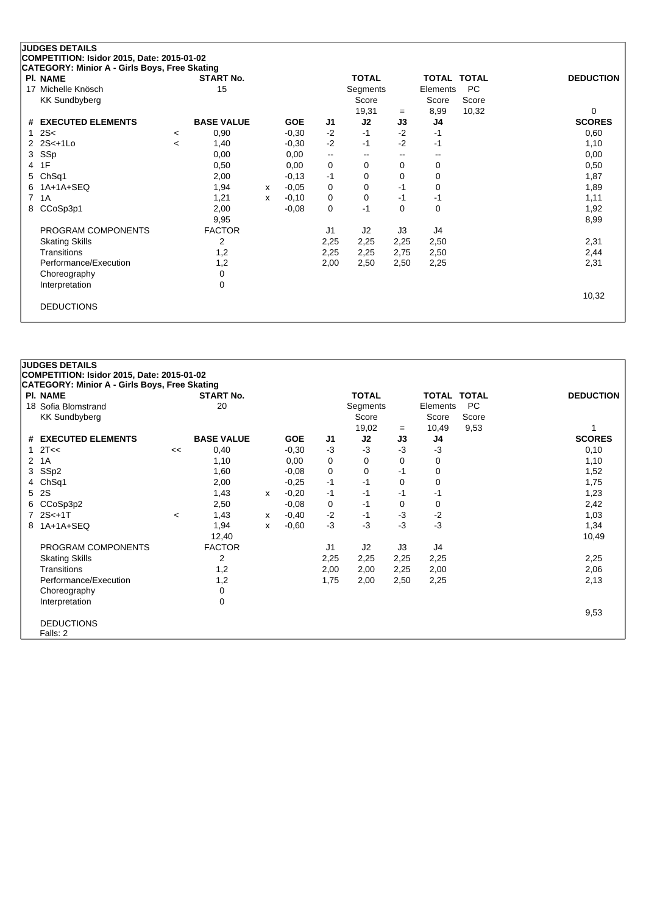| COMPETITION: Isidor 2015, Date: 2015-01-02 | CATEGORY: Minior A - Girls Boys, Free Skating |   |            |          |                          |               |             |             |                  |
|--------------------------------------------|-----------------------------------------------|---|------------|----------|--------------------------|---------------|-------------|-------------|------------------|
|                                            | <b>START No.</b>                              |   |            |          | <b>TOTAL</b>             |               |             | TOTAL TOTAL | <b>DEDUCTION</b> |
|                                            | 15                                            |   |            |          | Segments                 |               | Elements    | <b>PC</b>   |                  |
|                                            |                                               |   |            |          | Score                    |               | Score       | Score       |                  |
|                                            |                                               |   |            |          | 19,31                    | $=$           | 8,99        | 10,32       | $\Omega$         |
|                                            | <b>BASE VALUE</b>                             |   | <b>GOE</b> | J1       | J2                       | J3            | J4          |             | <b>SCORES</b>    |
| $\lt$                                      | 0,90                                          |   | $-0.30$    | $-2$     | $-1$                     | $-2$          | $-1$        |             | 0,60             |
| $\prec$                                    | 1,40                                          |   | $-0,30$    | $-2$     | $-1$                     | $-2$          | $-1$        |             | 1,10             |
|                                            | 0,00                                          |   | 0,00       | --       | $\overline{\phantom{a}}$ | $\sim$ $\sim$ | --          |             | 0,00             |
|                                            | 0,50                                          |   | 0,00       | $\Omega$ | $\Omega$                 | 0             | 0           |             | 0,50             |
|                                            | 2,00                                          |   | $-0,13$    | $-1$     | 0                        | 0             | 0           |             | 1,87             |
|                                            | 1,94                                          | x | $-0.05$    | $\Omega$ | 0                        | $-1$          | 0           |             | 1,89             |
|                                            | 1,21                                          | x | $-0,10$    | 0        | 0                        | $-1$          | $-1$        |             | 1,11             |
|                                            | 2,00                                          |   | $-0.08$    | $\Omega$ | $-1$                     | $\Omega$      | $\mathbf 0$ |             | 1,92             |
|                                            | 9,95                                          |   |            |          |                          |               |             |             | 8,99             |
|                                            | <b>FACTOR</b>                                 |   |            | J1       | J2                       | J3            | J4          |             |                  |
|                                            | 2                                             |   |            | 2,25     | 2,25                     | 2,25          | 2,50        |             | 2,31             |
|                                            | 1,2                                           |   |            | 2,25     | 2,25                     | 2,75          | 2,50        |             | 2,44             |
|                                            | 1,2                                           |   |            | 2,00     | 2,50                     | 2,50          | 2,25        |             | 2,31             |
|                                            | 0                                             |   |            |          |                          |               |             |             |                  |
|                                            | 0                                             |   |            |          |                          |               |             |             |                  |
|                                            |                                               |   |            |          |                          |               |             |             |                  |

10,32

DEDUCTIONS

|   | <b>JUDGES DETAILS</b>                                |       |                   |   |            |                |              |          |                    |           |                  |
|---|------------------------------------------------------|-------|-------------------|---|------------|----------------|--------------|----------|--------------------|-----------|------------------|
|   | COMPETITION: Isidor 2015, Date: 2015-01-02           |       |                   |   |            |                |              |          |                    |           |                  |
|   | <b>CATEGORY: Minior A - Girls Boys, Free Skating</b> |       |                   |   |            |                |              |          |                    |           |                  |
|   | <b>PI. NAME</b>                                      |       | <b>START No.</b>  |   |            |                | <b>TOTAL</b> |          | <b>TOTAL TOTAL</b> |           | <b>DEDUCTION</b> |
|   | 18 Sofia Blomstrand                                  |       | 20                |   |            |                | Segments     |          | Elements           | <b>PC</b> |                  |
|   | <b>KK Sundbyberg</b>                                 |       |                   |   |            |                | Score        |          | Score              | Score     |                  |
|   |                                                      |       |                   |   |            |                | 19,02        | $=$      | 10,49              | 9,53      |                  |
|   | # EXECUTED ELEMENTS                                  |       | <b>BASE VALUE</b> |   | <b>GOE</b> | J1             | J2           | J3       | J4                 |           | <b>SCORES</b>    |
|   | 12T <                                                | <<    | 0,40              |   | $-0,30$    | $-3$           | $-3$         | $-3$     | $-3$               |           | 0,10             |
|   | 2 1A                                                 |       | 1,10              |   | 0,00       | 0              | 0            | 0        | 0                  |           | 1,10             |
| 3 | SSp2                                                 |       | 1,60              |   | $-0.08$    | 0              | 0            | $-1$     | 0                  |           | 1,52             |
| 4 | ChSq1                                                |       | 2,00              |   | $-0.25$    | $-1$           | $-1$         | $\Omega$ | 0                  |           | 1,75             |
| 5 | <b>2S</b>                                            |       | 1,43              | X | $-0,20$    | $-1$           | $-1$         | -1       | -1                 |           | 1,23             |
| 6 | CCoSp3p2                                             |       | 2,50              |   | $-0.08$    | 0              | $-1$         | 0        | 0                  |           | 2,42             |
|   | $72S<+1T$                                            | $\,<$ | 1,43              | x | $-0,40$    | $-2$           | $-1$         | $-3$     | $-2$               |           | 1,03             |
|   | 8 1A+1A+SEQ                                          |       | 1,94              | x | $-0.60$    | $-3$           | $-3$         | $-3$     | $-3$               |           | 1,34             |
|   |                                                      |       | 12,40             |   |            |                |              |          |                    |           | 10,49            |
|   | PROGRAM COMPONENTS                                   |       | <b>FACTOR</b>     |   |            | J <sub>1</sub> | J2           | J3       | J4                 |           |                  |
|   | <b>Skating Skills</b>                                |       | 2                 |   |            | 2,25           | 2,25         | 2,25     | 2,25               |           | 2,25             |
|   | Transitions                                          |       | 1,2               |   |            | 2,00           | 2,00         | 2,25     | 2,00               |           | 2,06             |
|   | Performance/Execution                                |       | 1,2               |   |            | 1,75           | 2,00         | 2,50     | 2,25               |           | 2,13             |
|   | Choreography                                         |       | 0                 |   |            |                |              |          |                    |           |                  |
|   | Interpretation                                       |       | $\mathbf 0$       |   |            |                |              |          |                    |           |                  |
|   |                                                      |       |                   |   |            |                |              |          |                    |           | 9,53             |
|   | <b>DEDUCTIONS</b>                                    |       |                   |   |            |                |              |          |                    |           |                  |
|   | Falls: 2                                             |       |                   |   |            |                |              |          |                    |           |                  |
|   |                                                      |       |                   |   |            |                |              |          |                    |           |                  |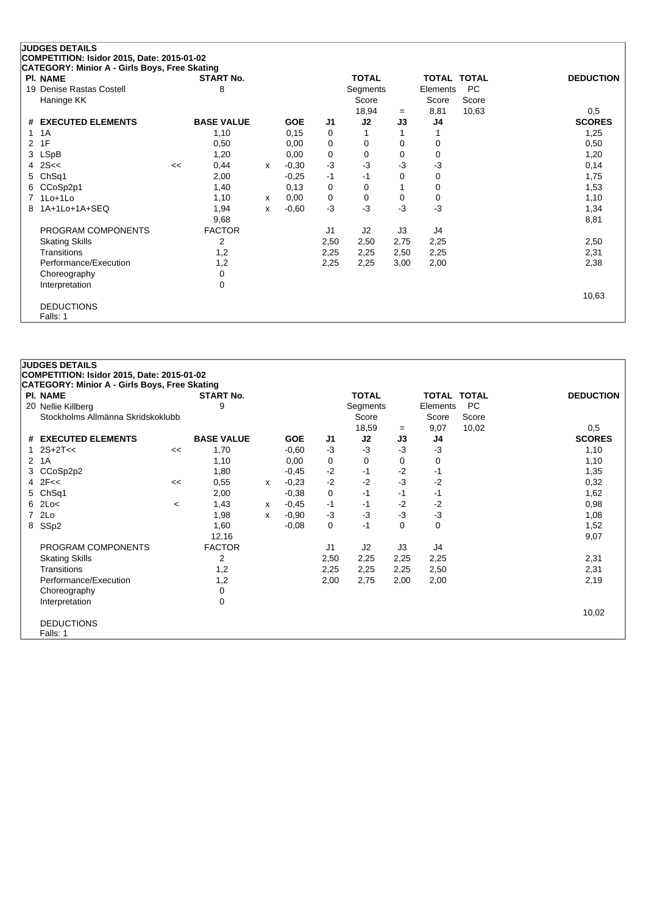## **JUDGES DETAILS**

**COMPETITION: Isidor 2015, Date: 2015-01-02**

| CATEGORY: Minior A - Girls Boys, Free Skating |    |                   |   |            |      |              |      |              |              |                  |
|-----------------------------------------------|----|-------------------|---|------------|------|--------------|------|--------------|--------------|------------------|
| <b>PI. NAME</b>                               |    | <b>START No.</b>  |   |            |      | <b>TOTAL</b> |      | <b>TOTAL</b> | <b>TOTAL</b> | <b>DEDUCTION</b> |
| 19 Denise Rastas Costell                      |    | 8                 |   |            |      | Segments     |      | Elements     | <b>PC</b>    |                  |
| Haninge KK                                    |    |                   |   |            |      | Score        |      | Score        | Score        |                  |
|                                               |    |                   |   |            |      | 18,94        | $=$  | 8,81         | 10,63        | 0,5              |
| # EXECUTED ELEMENTS                           |    | <b>BASE VALUE</b> |   | <b>GOE</b> | J1   | J2           | J3   | J4           |              | <b>SCORES</b>    |
| 1 1 A                                         |    | 1,10              |   | 0,15       | 0    |              |      |              |              | 1,25             |
| 2 1F                                          |    | 0,50              |   | 0,00       | 0    | 0            | 0    | 0            |              | 0,50             |
| 3 LSpB                                        |    | 1,20              |   | 0,00       | 0    | 0            | 0    | 0            |              | 1,20             |
| 4 $2S <$                                      | << | 0,44              | x | $-0,30$    | $-3$ | $-3$         | -3   | $-3$         |              | 0,14             |
| 5 ChSq1                                       |    | 2,00              |   | $-0.25$    | $-1$ | -1           | 0    | 0            |              | 1,75             |
| 6 CCoSp2p1                                    |    | 1,40              |   | 0,13       | 0    | 0            |      | 0            |              | 1,53             |
| 7 1Lo+1Lo                                     |    | 1,10              | x | 0,00       | 0    | 0            | 0    | 0            |              | 1,10             |
| 8 1A+1Lo+1A+SEQ                               |    | 1,94              | x | $-0.60$    | $-3$ | $-3$         | -3   | -3           |              | 1,34             |
|                                               |    | 9,68              |   |            |      |              |      |              |              | 8,81             |
| PROGRAM COMPONENTS                            |    | <b>FACTOR</b>     |   |            | J1   | J2           | J3   | J4           |              |                  |
| <b>Skating Skills</b>                         |    | 2                 |   |            | 2,50 | 2,50         | 2,75 | 2,25         |              | 2,50             |
| Transitions                                   |    | 1,2               |   |            | 2,25 | 2,25         | 2,50 | 2,25         |              | 2,31             |
| Performance/Execution                         |    | 1,2               |   |            | 2,25 | 2,25         | 3,00 | 2,00         |              | 2,38             |
| Choreography                                  |    | 0                 |   |            |      |              |      |              |              |                  |
| Interpretation                                |    | 0                 |   |            |      |              |      |              |              |                  |
|                                               |    |                   |   |            |      |              |      |              |              | 10,63            |
| <b>DEDUCTIONS</b>                             |    |                   |   |            |      |              |      |              |              |                  |
| Falls: 1                                      |    |                   |   |            |      |              |      |              |              |                  |

|                | <b>JUDGES DETAILS</b>                                |         |                   |   |            |      |              |             |                    |           |                  |
|----------------|------------------------------------------------------|---------|-------------------|---|------------|------|--------------|-------------|--------------------|-----------|------------------|
|                | COMPETITION: Isidor 2015, Date: 2015-01-02           |         |                   |   |            |      |              |             |                    |           |                  |
|                | <b>CATEGORY: Minior A - Girls Boys, Free Skating</b> |         |                   |   |            |      |              |             |                    |           |                  |
|                | <b>PI. NAME</b>                                      |         | <b>START No.</b>  |   |            |      | <b>TOTAL</b> |             | <b>TOTAL TOTAL</b> |           | <b>DEDUCTION</b> |
|                | 20 Nellie Killberg                                   |         | 9                 |   |            |      | Segments     |             | Elements           | <b>PC</b> |                  |
|                | Stockholms Allmänna Skridskoklubb                    |         |                   |   |            |      | Score        |             | Score              | Score     |                  |
|                |                                                      |         |                   |   |            |      | 18,59        | $=$         | 9,07               | 10,02     | 0,5              |
|                | # EXECUTED ELEMENTS                                  |         | <b>BASE VALUE</b> |   | <b>GOE</b> | J1   | J2           | J3          | J4                 |           | <b>SCORES</b>    |
|                | 1 $2S+2T<<$                                          | <<      | 1,70              |   | $-0.60$    | $-3$ | $-3$         | $-3$        | -3                 |           | 1,10             |
| $\overline{2}$ | 1A                                                   |         | 1,10              |   | 0,00       | 0    | 0            | 0           | 0                  |           | 1,10             |
| 3              | CCoSp2p2                                             |         | 1,80              |   | $-0,45$    | $-2$ | -1           | $-2$        | -1                 |           | 1,35             |
|                | $4$ $2F <$                                           | <<      | 0,55              | X | $-0.23$    | $-2$ | $-2$         | $-3$        | $-2$               |           | 0,32             |
|                | 5 ChSq1                                              |         | 2,00              |   | $-0,38$    | 0    | $-1$         | $-1$        | -1                 |           | 1,62             |
| 6              | 2Lo<                                                 | $\,<\,$ | 1,43              | х | $-0,45$    | $-1$ | $-1$         | $-2$        | -2                 |           | 0,98             |
| $\overline{7}$ | 2Lo                                                  |         | 1,98              | X | $-0.90$    | $-3$ | $-3$         | $-3$        | $-3$               |           | 1,08             |
| 8              | SSp2                                                 |         | 1,60              |   | $-0,08$    | 0    | $-1$         | $\mathbf 0$ | $\mathbf 0$        |           | 1,52             |
|                |                                                      |         | 12,16             |   |            |      |              |             |                    |           | 9,07             |
|                | PROGRAM COMPONENTS                                   |         | <b>FACTOR</b>     |   |            | J1   | J2           | J3          | J4                 |           |                  |
|                | <b>Skating Skills</b>                                |         | 2                 |   |            | 2,50 | 2,25         | 2,25        | 2,25               |           | 2,31             |
|                | Transitions                                          |         | 1,2               |   |            | 2,25 | 2,25         | 2,25        | 2,50               |           | 2,31             |
|                | Performance/Execution                                |         | 1,2               |   |            | 2,00 | 2,75         | 2,00        | 2,00               |           | 2,19             |
|                | Choreography                                         |         | 0                 |   |            |      |              |             |                    |           |                  |
|                | Interpretation                                       |         | $\mathbf 0$       |   |            |      |              |             |                    |           |                  |
|                |                                                      |         |                   |   |            |      |              |             |                    |           | 10,02            |
|                | <b>DEDUCTIONS</b>                                    |         |                   |   |            |      |              |             |                    |           |                  |
|                | Falls: 1                                             |         |                   |   |            |      |              |             |                    |           |                  |
|                |                                                      |         |                   |   |            |      |              |             |                    |           |                  |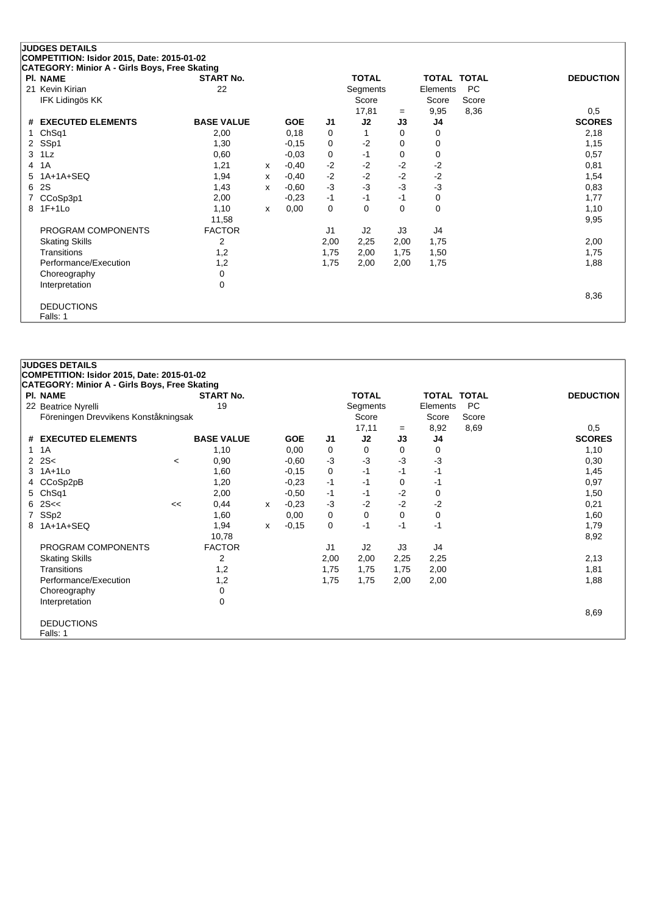| <b>CATEGORY: Minior A - Girls Boys, Free Skating</b><br><b>PI. NAME</b> | <b>START No.</b>  |   |            |      | <b>TOTAL</b>   |          | <b>TOTAL TOTAL</b> |           | <b>DEDUCTION</b> |
|-------------------------------------------------------------------------|-------------------|---|------------|------|----------------|----------|--------------------|-----------|------------------|
| Kevin Kirian<br>21                                                      | 22                |   |            |      | Segments       |          | Elements           | <b>PC</b> |                  |
| IFK Lidingös KK                                                         |                   |   |            |      | Score          |          | Score              | Score     |                  |
|                                                                         |                   |   |            |      | 17,81          | $=$      | 9,95               | 8,36      | 0,5              |
| # EXECUTED ELEMENTS                                                     | <b>BASE VALUE</b> |   | <b>GOE</b> | J1   | J2             | J3       | J4                 |           | <b>SCORES</b>    |
| Ch <sub>Sq1</sub>                                                       | 2,00              |   | 0,18       | 0    |                | 0        | 0                  |           | 2,18             |
| SSp1<br>2                                                               | 1,30              |   | $-0,15$    | 0    | $-2$           | 0        | 0                  |           | 1,15             |
| 1Lz<br>3                                                                | 0,60              |   | $-0,03$    | 0    | $-1$           | 0        | 0                  |           | 0,57             |
| 1A<br>4                                                                 | 1,21              | x | $-0,40$    | $-2$ | $-2$           | $-2$     | $-2$               |           | 0,81             |
| $1A+1A+SEQ$<br>5                                                        | 1,94              | X | $-0,40$    | $-2$ | $-2$           | $-2$     | $-2$               |           | 1,54             |
| 2S<br>6                                                                 | 1,43              | x | $-0.60$    | $-3$ | $-3$           | $-3$     | $-3$               |           | 0,83             |
| CCoSp3p1                                                                | 2,00              |   | $-0,23$    | $-1$ | $-1$           | $-1$     | $\mathbf 0$        |           | 1,77             |
| $1F+1Lo$<br>8                                                           | 1,10              | x | 0,00       | 0    | $\Omega$       | $\Omega$ | $\mathbf 0$        |           | 1,10             |
|                                                                         | 11,58             |   |            |      |                |          |                    |           | 9,95             |
| PROGRAM COMPONENTS                                                      | <b>FACTOR</b>     |   |            | J1   | J <sub>2</sub> | J3       | J4                 |           |                  |
| <b>Skating Skills</b>                                                   | 2                 |   |            | 2,00 | 2,25           | 2,00     | 1,75               |           | 2,00             |
| Transitions                                                             | 1,2               |   |            | 1,75 | 2,00           | 1,75     | 1,50               |           | 1,75             |
| Performance/Execution                                                   | 1,2               |   |            | 1,75 | 2,00           | 2,00     | 1,75               |           | 1,88             |
| Choreography                                                            | 0                 |   |            |      |                |          |                    |           |                  |
| Interpretation                                                          | 0                 |   |            |      |                |          |                    |           |                  |
|                                                                         |                   |   |            |      |                |          |                    |           | 8,36             |

DEDUCTIONS

Falls: 1

|              | <b>JUDGES DETAILS</b><br>COMPETITION: Isidor 2015, Date: 2015-01-02 |       |                   |   |            |      |              |      |                    |           |                  |
|--------------|---------------------------------------------------------------------|-------|-------------------|---|------------|------|--------------|------|--------------------|-----------|------------------|
|              | <b>CATEGORY: Minior A - Girls Boys, Free Skating</b>                |       |                   |   |            |      |              |      |                    |           |                  |
|              | <b>PI. NAME</b>                                                     |       | <b>START No.</b>  |   |            |      | <b>TOTAL</b> |      | <b>TOTAL TOTAL</b> |           | <b>DEDUCTION</b> |
|              | 22 Beatrice Nyrelli                                                 |       | 19                |   |            |      | Segments     |      | Elements           | <b>PC</b> |                  |
|              | Föreningen Drevvikens Konståkningsak                                |       |                   |   |            |      | Score        |      | Score              | Score     |                  |
|              |                                                                     |       |                   |   |            |      | 17,11        | $=$  | 8,92               | 8,69      | 0,5              |
|              | # EXECUTED ELEMENTS                                                 |       | <b>BASE VALUE</b> |   | <b>GOE</b> | J1   | J2           | J3   | J4                 |           | <b>SCORES</b>    |
| $\mathbf{1}$ | 1A                                                                  |       | 1,10              |   | 0,00       | 0    | 0            | 0    | 0                  |           | 1,10             |
|              | $2 \, 2S <$                                                         | $\,<$ | 0,90              |   | $-0,60$    | $-3$ | $-3$         | $-3$ | $-3$               |           | 0,30             |
|              | 3 1A+1Lo                                                            |       | 1,60              |   | $-0,15$    | 0    | $-1$         | $-1$ | -1                 |           | 1,45             |
|              | CCoSp2pB                                                            |       | 1,20              |   | $-0.23$    | $-1$ | $-1$         | 0    | -1                 |           | 0,97             |
|              | 5 ChSq1                                                             |       | 2,00              |   | $-0.50$    | $-1$ | -1           | $-2$ | 0                  |           | 1,50             |
| 6            | 2S <                                                                | <<    | 0,44              | X | $-0.23$    | $-3$ | $-2$         | $-2$ | $-2$               |           | 0,21             |
| 7            | SSp2                                                                |       | 1,60              |   | 0,00       | 0    | 0            | 0    | 0                  |           | 1,60             |
| 8            | 1A+1A+SEQ                                                           |       | 1,94              | X | $-0.15$    | 0    | $-1$         | -1   | -1                 |           | 1,79             |
|              |                                                                     |       | 10,78             |   |            |      |              |      |                    |           | 8,92             |
|              | PROGRAM COMPONENTS                                                  |       | <b>FACTOR</b>     |   |            | J1   | J2           | J3   | J4                 |           |                  |
|              | <b>Skating Skills</b>                                               |       | 2                 |   |            | 2,00 | 2,00         | 2,25 | 2,25               |           | 2,13             |
|              | Transitions                                                         |       | 1,2               |   |            | 1,75 | 1,75         | 1,75 | 2,00               |           | 1,81             |
|              | Performance/Execution                                               |       | 1,2               |   |            | 1,75 | 1,75         | 2,00 | 2,00               |           | 1,88             |
|              | Choreography                                                        |       | 0                 |   |            |      |              |      |                    |           |                  |
|              | Interpretation                                                      |       | 0                 |   |            |      |              |      |                    |           |                  |
|              |                                                                     |       |                   |   |            |      |              |      |                    |           | 8,69             |
|              | <b>DEDUCTIONS</b>                                                   |       |                   |   |            |      |              |      |                    |           |                  |
|              | Falls: 1                                                            |       |                   |   |            |      |              |      |                    |           |                  |